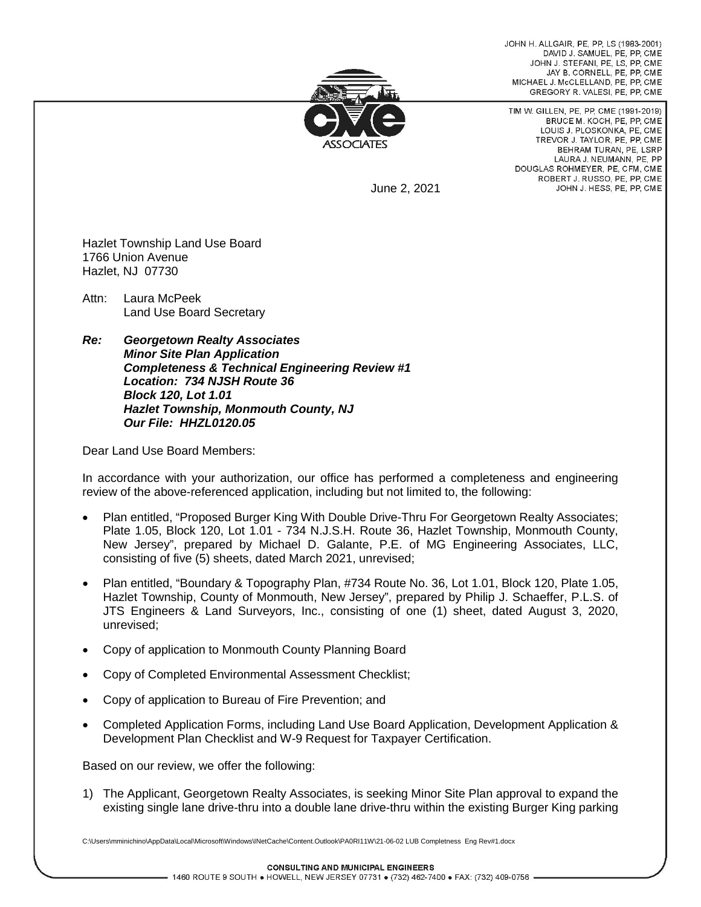JOHN H. ALLGAIR, PE, PP, LS (1983-2001) DAVID J. SAMUEL, PE, PP, CME JOHN J. STEFANI, PE, LS, PP, CME JAY B. CORNELL, PE, PP, CME MICHAEL J. McCLELLAND, PE, PP, CME GREGORY R. VALESI, PE, PP, CME



TIM W. GILLEN, PE, PP, CME (1991-2019) BRUCE M. KOCH, PE, PP, CME LOUIS J. PLOSKONKA, PE, CME TREVOR J. TAYLOR, PE. PP. CME BEHRAM TURAN, PE. LSRP LAURA J. NEUMANN, PE, PP DOUGLAS ROHMEYER, PE, CFM, CME ROBERT J. RUSSO, PE, PP, CME JOHN J. HESS, PE, PP, CME

June 2, 2021

Hazlet Township Land Use Board 1766 Union Avenue Hazlet, NJ 07730

Attn: Laura McPeek Land Use Board Secretary

*Re: Georgetown Realty Associates Minor Site Plan Application Completeness & Technical Engineering Review #1 Location: 734 NJSH Route 36 Block 120, Lot 1.01 Hazlet Township, Monmouth County, NJ Our File: HHZL0120.05*

Dear Land Use Board Members:

In accordance with your authorization, our office has performed a completeness and engineering review of the above-referenced application, including but not limited to, the following:

- Plan entitled, "Proposed Burger King With Double Drive-Thru For Georgetown Realty Associates; Plate 1.05, Block 120, Lot 1.01 - 734 N.J.S.H. Route 36, Hazlet Township, Monmouth County, New Jersey", prepared by Michael D. Galante, P.E. of MG Engineering Associates, LLC, consisting of five (5) sheets, dated March 2021, unrevised;
- Plan entitled, "Boundary & Topography Plan, #734 Route No. 36, Lot 1.01, Block 120, Plate 1.05, Hazlet Township, County of Monmouth, New Jersey", prepared by Philip J. Schaeffer, P.L.S. of JTS Engineers & Land Surveyors, Inc., consisting of one (1) sheet, dated August 3, 2020, unrevised;
- Copy of application to Monmouth County Planning Board
- Copy of Completed Environmental Assessment Checklist;
- Copy of application to Bureau of Fire Prevention; and
- Completed Application Forms, including Land Use Board Application, Development Application & Development Plan Checklist and W-9 Request for Taxpayer Certification.

Based on our review, we offer the following:

1) The Applicant, Georgetown Realty Associates, is seeking Minor Site Plan approval to expand the existing single lane drive-thru into a double lane drive-thru within the existing Burger King parking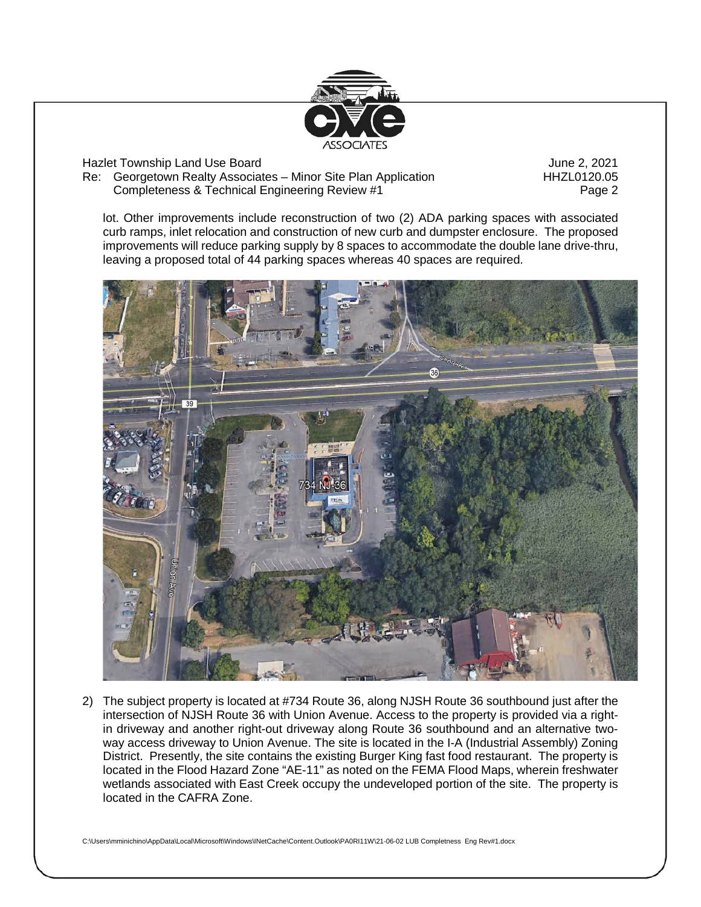

Hazlet Township Land Use Board June 2, 2021

Re: Georgetown Realty Associates – Minor Site Plan Application **HHZL0120.05** Completeness & Technical Engineering Review #1 Page 2

lot. Other improvements include reconstruction of two (2) ADA parking spaces with associated curb ramps, inlet relocation and construction of new curb and dumpster enclosure. The proposed improvements will reduce parking supply by 8 spaces to accommodate the double lane drive-thru, leaving a proposed total of 44 parking spaces whereas 40 spaces are required.



2) The subject property is located at #734 Route 36, along NJSH Route 36 southbound just after the intersection of NJSH Route 36 with Union Avenue. Access to the property is provided via a rightin driveway and another right-out driveway along Route 36 southbound and an alternative twoway access driveway to Union Avenue. The site is located in the I-A (Industrial Assembly) Zoning District. Presently, the site contains the existing Burger King fast food restaurant. The property is located in the Flood Hazard Zone "AE-11" as noted on the FEMA Flood Maps, wherein freshwater wetlands associated with East Creek occupy the undeveloped portion of the site. The property is located in the CAFRA Zone.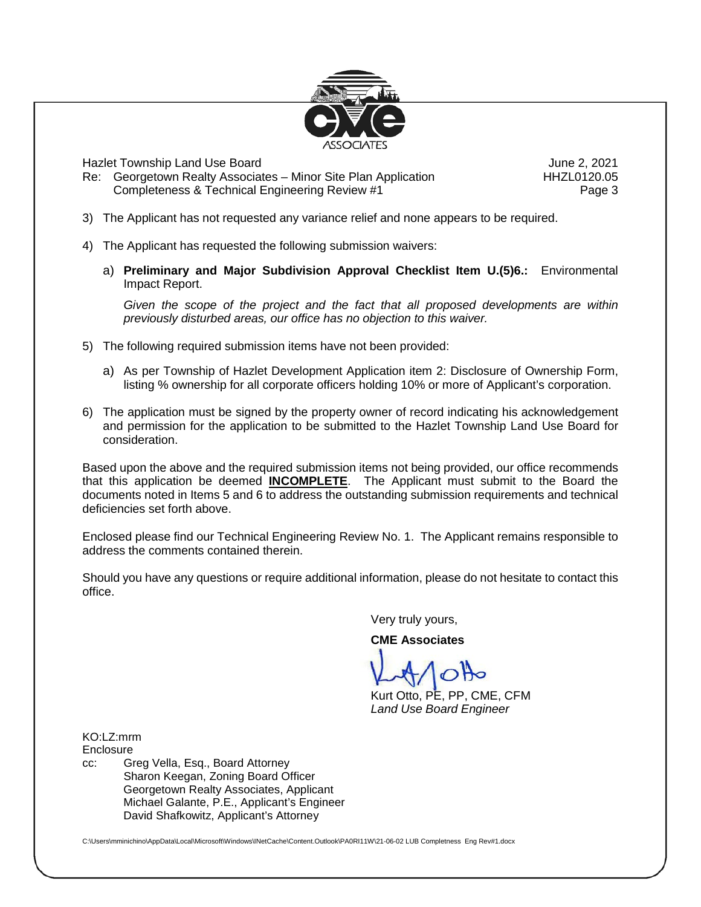

Hazlet Township Land Use Board June 2, 2021

Re: Georgetown Realty Associates – Minor Site Plan Application **HHZL0120.05** Completeness & Technical Engineering Review #1 Page 3

- 3) The Applicant has not requested any variance relief and none appears to be required.
- 4) The Applicant has requested the following submission waivers:
	- a) **Preliminary and Major Subdivision Approval Checklist Item U.(5)6.:** Environmental Impact Report.

*Given the scope of the project and the fact that all proposed developments are within previously disturbed areas, our office has no objection to this waiver.*

- 5) The following required submission items have not been provided:
	- a) As per Township of Hazlet Development Application item 2: Disclosure of Ownership Form, listing % ownership for all corporate officers holding 10% or more of Applicant's corporation.
- 6) The application must be signed by the property owner of record indicating his acknowledgement and permission for the application to be submitted to the Hazlet Township Land Use Board for consideration.

Based upon the above and the required submission items not being provided, our office recommends that this application be deemed **INCOMPLETE**. The Applicant must submit to the Board the documents noted in Items 5 and 6 to address the outstanding submission requirements and technical deficiencies set forth above.

Enclosed please find our Technical Engineering Review No. 1. The Applicant remains responsible to address the comments contained therein.

Should you have any questions or require additional information, please do not hesitate to contact this office.

Very truly yours,

**CME Associates**

Kurt Otto, PE, PP, CME, CFM *Land Use Board Engineer*

KO:LZ:mrm **Enclosure** 

cc: Greg Vella, Esq., Board Attorney Sharon Keegan, Zoning Board Officer Georgetown Realty Associates, Applicant Michael Galante, P.E., Applicant's Engineer David Shafkowitz, Applicant's Attorney